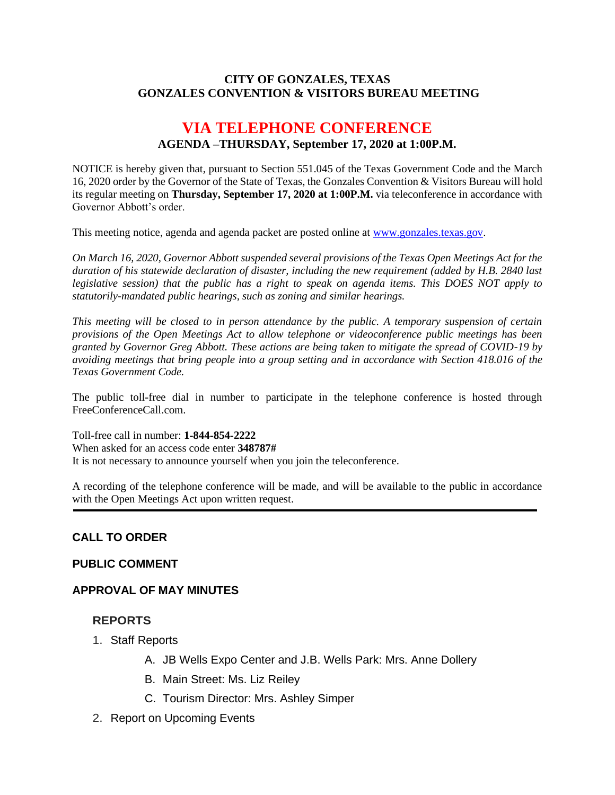### **CITY OF GONZALES, TEXAS GONZALES CONVENTION & VISITORS BUREAU MEETING**

# **VIA TELEPHONE CONFERENCE AGENDA –THURSDAY, September 17, 2020 at 1:00P.M.**

NOTICE is hereby given that, pursuant to Section 551.045 of the Texas Government Code and the March 16, 2020 order by the Governor of the State of Texas, the Gonzales Convention & Visitors Bureau will hold its regular meeting on **Thursday, September 17, 2020 at 1:00P.M.** via teleconference in accordance with Governor Abbott's order.

This meeting notice, agenda and agenda packet are posted online at [www.gonzales.texas.gov.](http://www.gonzales.texas.gov/)

*On March 16, 2020, Governor Abbott suspended several provisions of the Texas Open Meetings Act for the duration of his statewide declaration of disaster, including the new requirement (added by H.B. 2840 last legislative session) that the public has a right to speak on agenda items. This DOES NOT apply to statutorily-mandated public hearings, such as zoning and similar hearings.* 

*This meeting will be closed to in person attendance by the public. A temporary suspension of certain provisions of the Open Meetings Act to allow telephone or videoconference public meetings has been granted by Governor Greg Abbott. These actions are being taken to mitigate the spread of COVID-19 by avoiding meetings that bring people into a group setting and in accordance with Section 418.016 of the Texas Government Code.*

The public toll-free dial in number to participate in the telephone conference is hosted through FreeConferenceCall.com.

Toll-free call in number: **1-844-854-2222**

When asked for an access code enter **348787#**

It is not necessary to announce yourself when you join the teleconference.

A recording of the telephone conference will be made, and will be available to the public in accordance with the Open Meetings Act upon written request.

#### **CALL TO ORDER**

#### **PUBLIC COMMENT**

#### **APPROVAL OF MAY MINUTES**

#### **REPORTS**

- 1. Staff Reports
	- A. JB Wells Expo Center and J.B. Wells Park: Mrs. Anne Dollery
	- B. Main Street: Ms. Liz Reiley
	- C. Tourism Director: Mrs. Ashley Simper
- 2. Report on Upcoming Events